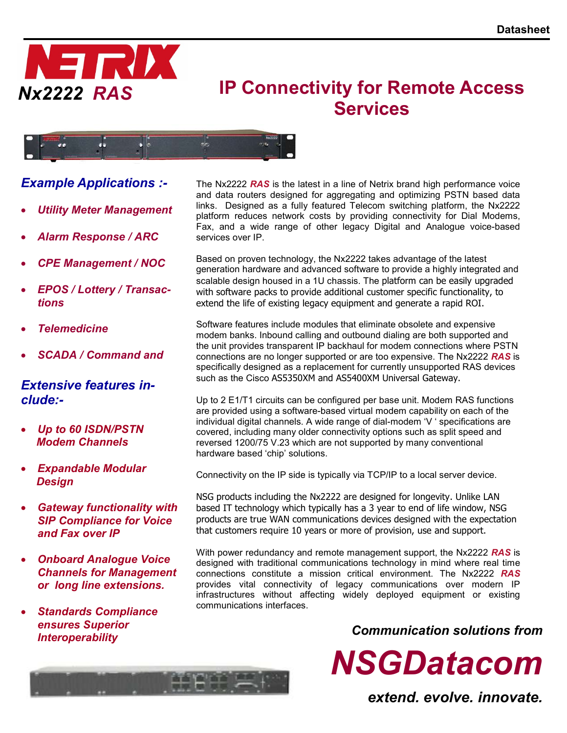

# IP Connectivity for Remote Access **Services**



# Example Applications :-

- Utility Meter Management
- Alarm Response / ARC
- CPE Management / NOC
- EPOS / Lottery / Transactions
- **Telemedicine**
- SCADA / Command and

# Extensive features include:-

- Up to 60 ISDN/PSTN Modem Channels
- Expandable Modular **Design**
- Gateway functionality with SIP Compliance for Voice and Fax over IP
- Onboard Analogue Voice Channels for Management or long line extensions.
- Standards Compliance ensures Superior Interoperability

The Nx2222 RAS is the latest in a line of Netrix brand high performance voice and data routers designed for aggregating and optimizing PSTN based data links. Designed as a fully featured Telecom switching platform, the Nx2222 platform reduces network costs by providing connectivity for Dial Modems, Fax, and a wide range of other legacy Digital and Analogue voice-based services over IP.

Based on proven technology, the Nx2222 takes advantage of the latest generation hardware and advanced software to provide a highly integrated and scalable design housed in a 1U chassis. The platform can be easily upgraded with software packs to provide additional customer specific functionality, to extend the life of existing legacy equipment and generate a rapid ROI.

Software features include modules that eliminate obsolete and expensive modem banks. Inbound calling and outbound dialing are both supported and the unit provides transparent IP backhaul for modem connections where PSTN connections are no longer supported or are too expensive. The Nx2222 RAS is specifically designed as a replacement for currently unsupported RAS devices such as the Cisco AS5350XM and AS5400XM Universal Gateway.

Up to 2 E1/T1 circuits can be configured per base unit. Modem RAS functions are provided using a software-based virtual modem capability on each of the individual digital channels. A wide range of dial-modem 'V ' specifications are covered, including many older connectivity options such as split speed and reversed 1200/75 V.23 which are not supported by many conventional hardware based 'chip' solutions.

Connectivity on the IP side is typically via TCP/IP to a local server device.

NSG products including the Nx2222 are designed for longevity. Unlike LAN based IT technology which typically has a 3 year to end of life window, NSG products are true WAN communications devices designed with the expectation that customers require 10 years or more of provision, use and support.

With power redundancy and remote management support, the Nx2222 RAS is designed with traditional communications technology in mind where real time connections constitute a mission critical environment. The Nx2222 RAS provides vital connectivity of legacy communications over modern IP infrastructures without affecting widely deployed equipment or existing communications interfaces.

Communication solutions from

NSGDatacom



extend. evolve. innovate.